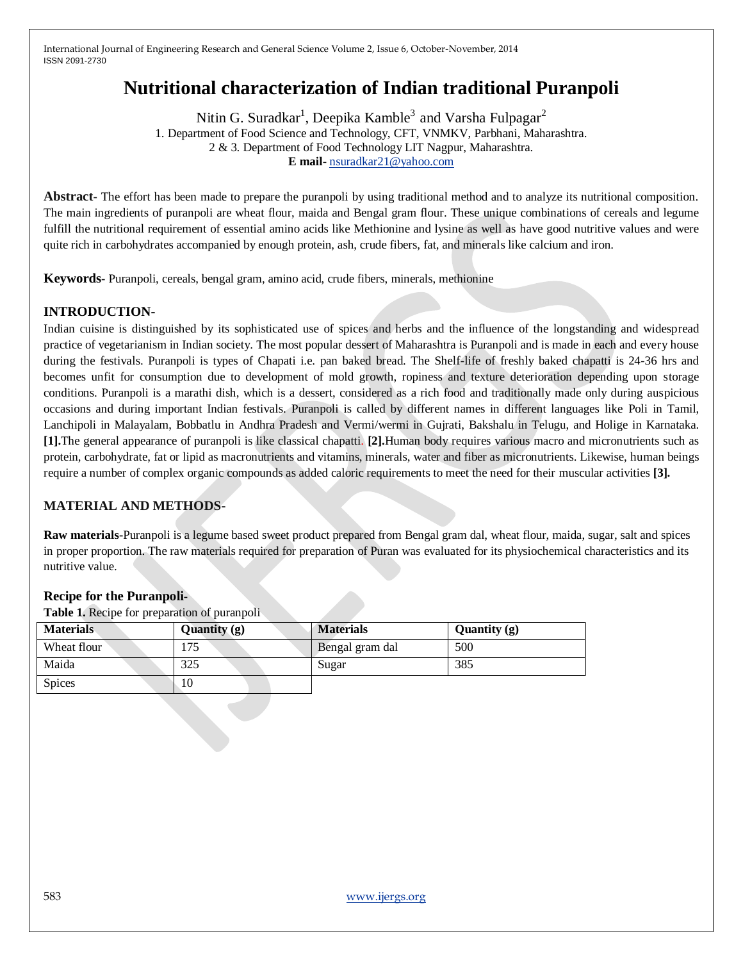# **Nutritional characterization of Indian traditional Puranpoli**

Nitin G. Suradkar $^1$ , Deepika Kamble $^3$  and Varsha Fulpagar $^2$ 1. Department of Food Science and Technology, CFT, VNMKV, Parbhani, Maharashtra. 2 & 3. Department of Food Technology LIT Nagpur, Maharashtra. **E mail**- [nsuradkar21@yahoo.com](mailto:nsuradkar21@yahoo.com)

**Abstract-** The effort has been made to prepare the puranpoli by using traditional method and to analyze its nutritional composition. The main ingredients of puranpoli are wheat flour, maida and Bengal gram flour. These unique combinations of cereals and legume fulfill the nutritional requirement of essential amino acids like Methionine and lysine as well as have good nutritive values and were quite rich in carbohydrates accompanied by enough protein, ash, crude fibers, fat, and minerals like calcium and iron.

**Keywords-** Puranpoli, cereals, bengal gram, amino acid, crude fibers, minerals, methionine

# **INTRODUCTION-**

Indian cuisine is distinguished by its sophisticated use of spices and herbs and the influence of the longstanding and widespread practice of vegetarianism in Indian society. The most popular dessert of Maharashtra is Puranpoli and is made in each and every house during the festivals. Puranpoli is types of Chapati i.e. pan baked bread. The Shelf-life of freshly baked chapatti is 24-36 hrs and becomes unfit for consumption due to development of mold growth, ropiness and texture deterioration depending upon storage conditions. Puranpoli is a marathi dish, which is a dessert, considered as a rich food and traditionally made only during auspicious occasions and during important Indian festivals. Puranpoli is called by different names in different languages like Poli in Tamil, Lanchipoli in Malayalam, Bobbatlu in Andhra Pradesh and Vermi/wermi in Gujrati, Bakshalu in Telugu, and Holige in Karnataka. **[1].**The general appearance of puranpoli is like classical chapatti. **[2].**Human body requires various macro and micronutrients such as protein, carbohydrate, fat or lipid as macronutrients and vitamins, minerals, water and fiber as micronutrients. Likewise, human beings require a number of complex organic compounds as added caloric requirements to meet the need for their muscular activities **[3].**

# **MATERIAL AND METHODS-**

**Raw materials-**Puranpoli is a legume based sweet product prepared from Bengal gram dal, wheat flour, maida, sugar, salt and spices in proper proportion. The raw materials required for preparation of Puran was evaluated for its physiochemical characteristics and its nutritive value.

# **Recipe for the Puranpoli-**

**Table 1.** Recipe for preparation of puranpoli

| <b>Materials</b> | Quantity (g) | <b>Materials</b> | Quantity $(g)$ |
|------------------|--------------|------------------|----------------|
| Wheat flour      | 175          | Bengal gram dal  | 500            |
| Maida            | 325          | Sugar            | 385            |
| <b>Spices</b>    | 10           |                  |                |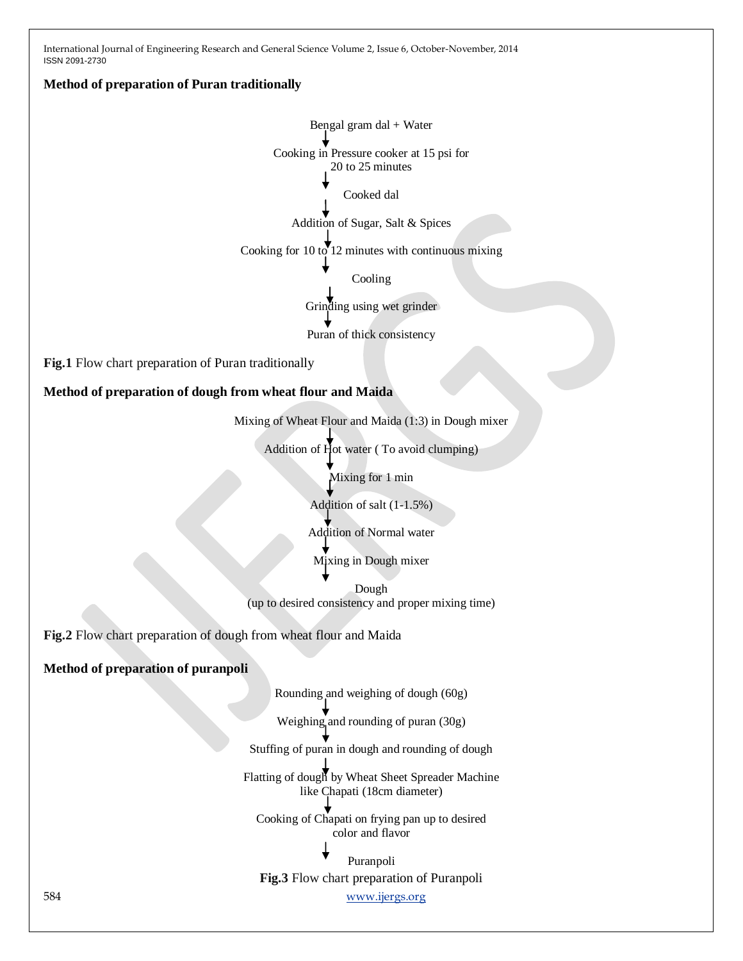# **Method of preparation of Puran traditionally**

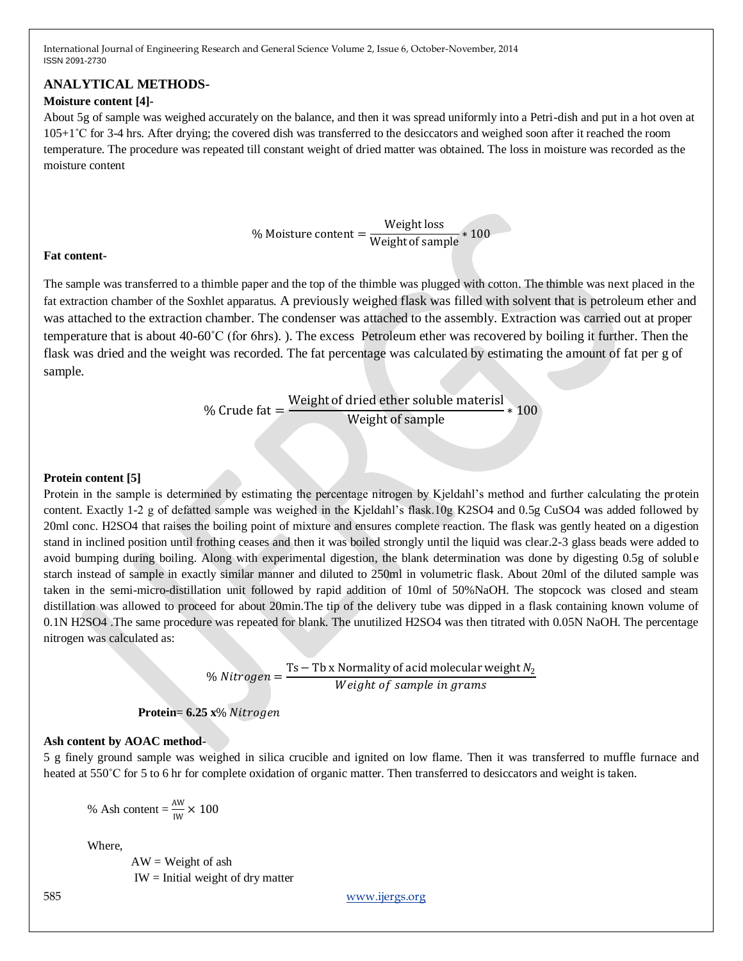# **ANALYTICAL METHODS-**

# **Moisture content [4]-**

About 5g of sample was weighed accurately on the balance, and then it was spread uniformly into a Petri-dish and put in a hot oven at 105+1˚C for 3-4 hrs. After drying; the covered dish was transferred to the desiccators and weighed soon after it reached the room temperature. The procedure was repeated till constant weight of dried matter was obtained. The loss in moisture was recorded as the moisture content

% Moisture content =  $\frac{\text{Weight loss}}{\text{Weight of sample}} * 100$ 

#### **Fat content-**

The sample was transferred to a thimble paper and the top of the thimble was plugged with cotton. The thimble was next placed in the fat extraction chamber of the Soxhlet apparatus. A previously weighed flask was filled with solvent that is petroleum ether and was attached to the extraction chamber. The condenser was attached to the assembly. Extraction was carried out at proper temperature that is about 40-60˚C (for 6hrs). ). The excess Petroleum ether was recovered by boiling it further. Then the flask was dried and the weight was recorded. The fat percentage was calculated by estimating the amount of fat per g of sample.

> % Crude fat = Weight of dried ether soluble materisl Weight of sample \* 100

#### **Protein content [5]**

Protein in the sample is determined by estimating the percentage nitrogen by Kjeldahl's method and further calculating the protein content. Exactly 1-2 g of defatted sample was weighed in the Kjeldahl's flask.10g K2SO4 and 0.5g CuSO4 was added followed by 20ml conc. H2SO4 that raises the boiling point of mixture and ensures complete reaction. The flask was gently heated on a digestion stand in inclined position until frothing ceases and then it was boiled strongly until the liquid was clear.2-3 glass beads were added to avoid bumping during boiling. Along with experimental digestion, the blank determination was done by digesting 0.5g of soluble starch instead of sample in exactly similar manner and diluted to 250ml in volumetric flask. About 20ml of the diluted sample was taken in the semi-micro-distillation unit followed by rapid addition of 10ml of 50%NaOH. The stopcock was closed and steam distillation was allowed to proceed for about 20min.The tip of the delivery tube was dipped in a flask containing known volume of 0.1N H2SO4 .The same procedure was repeated for blank. The unutilized H2SO4 was then titrated with 0.05N NaOH. The percentage nitrogen was calculated as:

> % Nitrogen =  $\frac{Ts - Tb \times Normality \text{ of acid molecular weight } N_2}{M \times M \times N}$ Weight of sample in grams

# **Protein**= **6.25 x**%

#### **Ash content by AOAC method-**

5 g finely ground sample was weighed in silica crucible and ignited on low flame. Then it was transferred to muffle furnace and heated at 550°C for 5 to 6 hr for complete oxidation of organic matter. Then transferred to desiccators and weight is taken.

% Ash content = 
$$
\frac{\text{AW}}{\text{IW}} \times 100
$$

Where,

 $AW = Weight of ash$ IW = Initial weight of dry matter

585 www.ijergs.org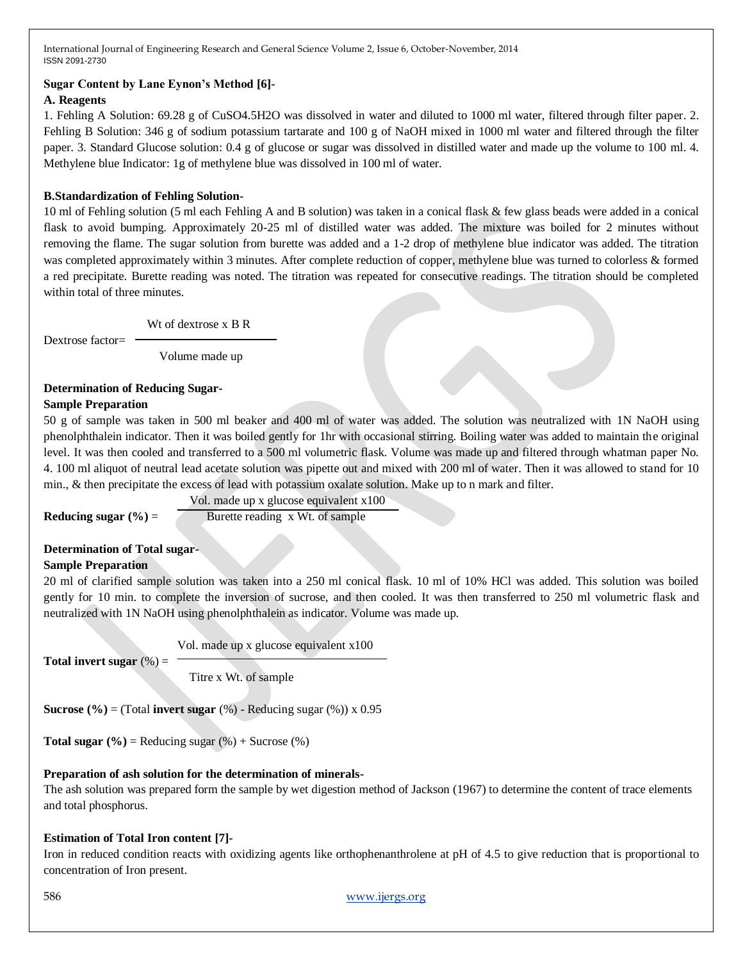# **Sugar Content by Lane Eynon's Method [6]-**

# **A. Reagents**

1. Fehling A Solution: 69.28 g of CuSO4.5H2O was dissolved in water and diluted to 1000 ml water, filtered through filter paper. 2. Fehling B Solution: 346 g of sodium potassium tartarate and 100 g of NaOH mixed in 1000 ml water and filtered through the filter paper. 3. Standard Glucose solution: 0.4 g of glucose or sugar was dissolved in distilled water and made up the volume to 100 ml. 4. Methylene blue Indicator: 1g of methylene blue was dissolved in 100 ml of water.

#### **B.Standardization of Fehling Solution-**

10 ml of Fehling solution (5 ml each Fehling A and B solution) was taken in a conical flask & few glass beads were added in a conical flask to avoid bumping. Approximately 20-25 ml of distilled water was added. The mixture was boiled for 2 minutes without removing the flame. The sugar solution from burette was added and a 1-2 drop of methylene blue indicator was added. The titration was completed approximately within 3 minutes. After complete reduction of copper, methylene blue was turned to colorless & formed a red precipitate. Burette reading was noted. The titration was repeated for consecutive readings. The titration should be completed within total of three minutes.

Wt of dextrose x B R

Dextrose factor=

Volume made up

#### **Determination of Reducing Sugar-**

#### **Sample Preparation**

50 g of sample was taken in 500 ml beaker and 400 ml of water was added. The solution was neutralized with 1N NaOH using phenolphthalein indicator. Then it was boiled gently for 1hr with occasional stirring. Boiling water was added to maintain the original level. It was then cooled and transferred to a 500 ml volumetric flask. Volume was made up and filtered through whatman paper No. 4. 100 ml aliquot of neutral lead acetate solution was pipette out and mixed with 200 ml of water. Then it was allowed to stand for 10 min., & then precipitate the excess of lead with potassium oxalate solution. Make up to n mark and filter.

 Vol. made up x glucose equivalent x100 **Reducing sugar**  $(\%)$  **= Burette reading x Wt. of sample** 

**Determination of Total sugar-Sample Preparation**

20 ml of clarified sample solution was taken into a 250 ml conical flask. 10 ml of 10% HCl was added. This solution was boiled gently for 10 min. to complete the inversion of sucrose, and then cooled. It was then transferred to 250 ml volumetric flask and neutralized with 1N NaOH using phenolphthalein as indicator. Volume was made up.

Vol. made up x glucose equivalent x100

**Total invert sugar**  $(\%) =$ 

Titre x Wt. of sample

**Sucrose**  $(\%)$  = (Total **invert sugar**  $(\%)$  - Reducing sugar  $(\%)$ ) x 0.95

**Total sugar**  $(\%)$  = Reducing sugar  $(\%)$  + Sucrose  $(\%)$ 

# **Preparation of ash solution for the determination of minerals-**

The ash solution was prepared form the sample by wet digestion method of Jackson (1967) to determine the content of trace elements and total phosphorus.

# **Estimation of Total Iron content [7]-**

Iron in reduced condition reacts with oxidizing agents like orthophenanthrolene at pH of 4.5 to give reduction that is proportional to concentration of Iron present.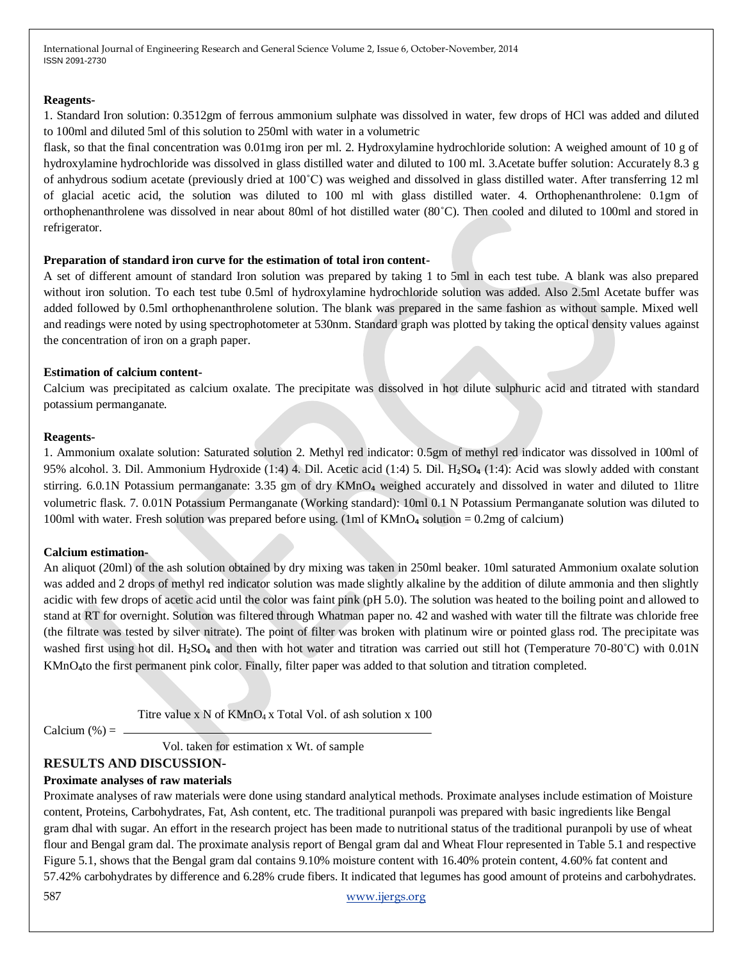#### **Reagents-**

1. Standard Iron solution: 0.3512gm of ferrous ammonium sulphate was dissolved in water, few drops of HCl was added and diluted to 100ml and diluted 5ml of this solution to 250ml with water in a volumetric

flask, so that the final concentration was 0.01mg iron per ml. 2. Hydroxylamine hydrochloride solution: A weighed amount of 10 g of hydroxylamine hydrochloride was dissolved in glass distilled water and diluted to 100 ml. 3.Acetate buffer solution: Accurately 8.3 g of anhydrous sodium acetate (previously dried at 100˚C) was weighed and dissolved in glass distilled water. After transferring 12 ml of glacial acetic acid, the solution was diluted to 100 ml with glass distilled water. 4. Orthophenanthrolene: 0.1gm of orthophenanthrolene was dissolved in near about 80ml of hot distilled water (80˚C). Then cooled and diluted to 100ml and stored in refrigerator.

#### **Preparation of standard iron curve for the estimation of total iron content-**

A set of different amount of standard Iron solution was prepared by taking 1 to 5ml in each test tube. A blank was also prepared without iron solution. To each test tube 0.5ml of hydroxylamine hydrochloride solution was added. Also 2.5ml Acetate buffer was added followed by 0.5ml orthophenanthrolene solution. The blank was prepared in the same fashion as without sample. Mixed well and readings were noted by using spectrophotometer at 530nm. Standard graph was plotted by taking the optical density values against the concentration of iron on a graph paper.

#### **Estimation of calcium content-**

Calcium was precipitated as calcium oxalate. The precipitate was dissolved in hot dilute sulphuric acid and titrated with standard potassium permanganate.

#### **Reagents-**

1. Ammonium oxalate solution: Saturated solution 2. Methyl red indicator: 0.5gm of methyl red indicator was dissolved in 100ml of 95% alcohol. 3. Dil. Ammonium Hydroxide (1:4) 4. Dil. Acetic acid (1:4) 5. Dil. H<sub>2</sub>SO<sub>4</sub> (1:4): Acid was slowly added with constant stirring. 6.0.1N Potassium permanganate: 3.35 gm of dry KMnO<sub>4</sub> weighed accurately and dissolved in water and diluted to 1litre volumetric flask. 7. 0.01N Potassium Permanganate (Working standard): 10ml 0.1 N Potassium Permanganate solution was diluted to 100ml with water. Fresh solution was prepared before using. (1ml of  $KMnO<sub>4</sub>$  solution = 0.2mg of calcium)

#### **Calcium estimation-**

An aliquot (20ml) of the ash solution obtained by dry mixing was taken in 250ml beaker. 10ml saturated Ammonium oxalate solution was added and 2 drops of methyl red indicator solution was made slightly alkaline by the addition of dilute ammonia and then slightly acidic with few drops of acetic acid until the color was faint pink (pH 5.0). The solution was heated to the boiling point and allowed to stand at RT for overnight. Solution was filtered through Whatman paper no. 42 and washed with water till the filtrate was chloride free (the filtrate was tested by silver nitrate). The point of filter was broken with platinum wire or pointed glass rod. The precipitate was washed first using hot dil. H<sub>2</sub>SO<sub>4</sub> and then with hot water and titration was carried out still hot (Temperature 70-80°C) with 0.01N KMnO4to the first permanent pink color. Finally, filter paper was added to that solution and titration completed.

Titre value x  $N$  of  $KMnO<sub>4</sub>$  x Total Vol. of ash solution x 100

Calcium  $(\%) =$   $\angle$ 

Vol. taken for estimation x Wt. of sample

# **RESULTS AND DISCUSSION-**

#### **Proximate analyses of raw materials**

Proximate analyses of raw materials were done using standard analytical methods. Proximate analyses include estimation of Moisture content, Proteins, Carbohydrates, Fat, Ash content, etc. The traditional puranpoli was prepared with basic ingredients like Bengal gram dhal with sugar. An effort in the research project has been made to nutritional status of the traditional puranpoli by use of wheat flour and Bengal gram dal. The proximate analysis report of Bengal gram dal and Wheat Flour represented in Table 5.1 and respective Figure 5.1, shows that the Bengal gram dal contains 9.10% moisture content with 16.40% protein content, 4.60% fat content and 57.42% carbohydrates by difference and 6.28% crude fibers. It indicated that legumes has good amount of proteins and carbohydrates.

587 www.ijergs.org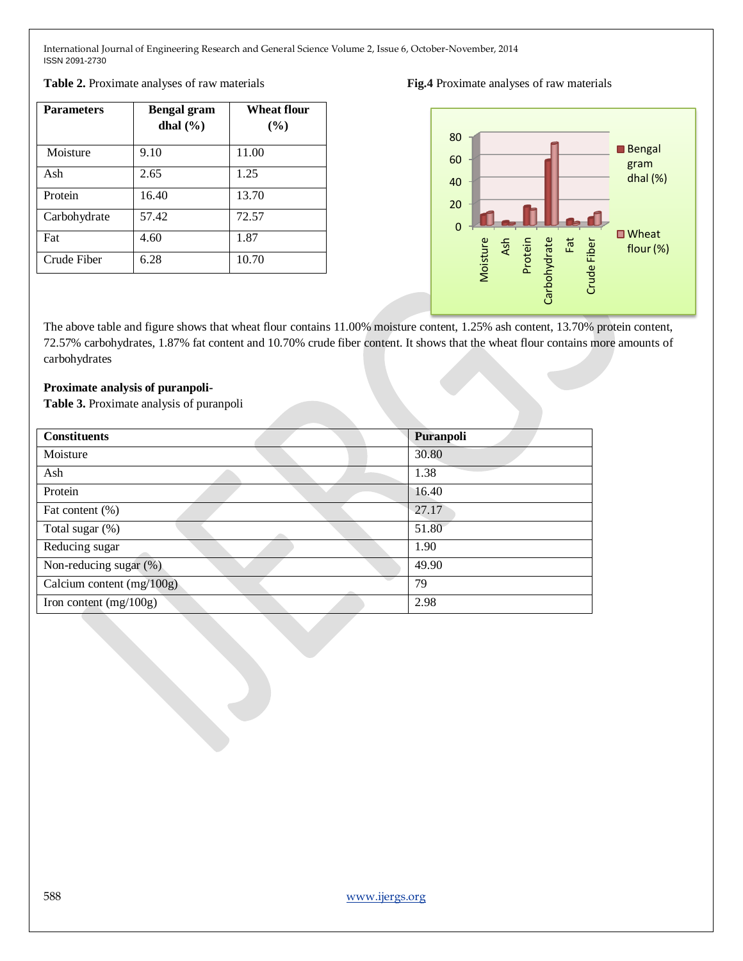| <b>Parameters</b> | <b>Bengal gram</b><br>dhal $(\% )$ | <b>Wheat flour</b><br>(%) |
|-------------------|------------------------------------|---------------------------|
| Moisture          | 9.10                               | 11.00                     |
| Ash               | 2.65                               | 1.25                      |
| Protein           | 16.40                              | 13.70                     |
| Carbohydrate      | 57.42                              | 72.57                     |
| Fat               | 4.60                               | 1.87                      |
| Crude Fiber       | 6.28                               | 10.70                     |





The above table and figure shows that wheat flour contains 11.00% moisture content, 1.25% ash content, 13.70% protein content, 72.57% carbohydrates, 1.87% fat content and 10.70% crude fiber content. It shows that the wheat flour contains more amounts of carbohydrates

#### **Proximate analysis of puranpoli-**

**Table 3.** Proximate analysis of puranpoli

| <b>Constituents</b>         | Puranpoli |
|-----------------------------|-----------|
| Moisture                    | 30.80     |
| Ash                         | 1.38      |
| Protein                     | 16.40     |
| Fat content (%)             | 27.17     |
| Total sugar (%)             | 51.80     |
| Reducing sugar              | 1.90      |
| Non-reducing sugar (%)      | 49.90     |
| Calcium content $(mg/100g)$ | 79        |
| Iron content $(mg/100g)$    | 2.98      |